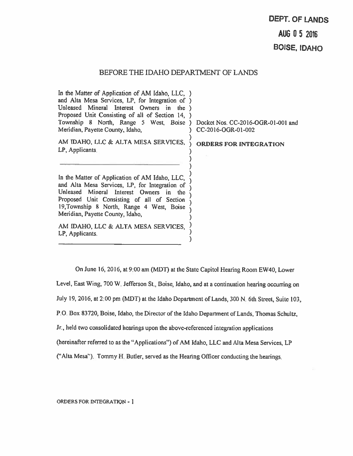# BEFORE THE IDAHO DEPARTMENT OF LANDS

)

)

℩

In the Matter of Application of AM Idaho, LLC, ) and Alta Mesa Services, LP, for Integration of ) Unleased Mineral Interest Owners in the ) Proposed Unit Consisting of all of Section 14, Township <sup>8</sup> North, Range <sup>5</sup> West, Boise ) Docket Nos. CC-2016-OGR-01-001 and Meridian, Payette County, Idaho, (CC-2016-OGR-01-002)

AM IDAHO, LLC & ALTA MESA SERVICES, LP, Applicants,

) ORDERS FOR INTEGRATION

In the Matter of Application of AM Idaho, LLC, and Alta Mesa Services, LP, for Integration of Unleased Mineral Interest Owners in the Proposed Unit Consisting of all of Section 19,Township 8 North, Range <sup>4</sup> West, Boise Meridian, Payette County, Idaho,

AM IDAHO, LLC & ALTA MESA SERVICES, LP, Applicants.

On June 16, 2016, at 9:00 am (MDT) at the State Capitol Hearing Room EW4O, Lower Level, East Wing, 700 W. Jefferson St., Boise, Idaho, and at a continuation hearing occurring on July 19, 2016, at 2:00 pm (MDT) at the Idaho Department of Lands, 300 N. 6th Street, Suite 103, P.O. Box 83720, Boise, Idaho, the Director of the Idaho Department of Lands, Thomas Schultz, Jr., held two consolidated hearings upon the above-referenced integration applications (hereinafter referred to as the "Applications") of AM Idaho, LLC and Alta Mesa Services, LP ("Mta Mesa"). Tommy H. Butler, served as the Heating Officer conducting the hearings.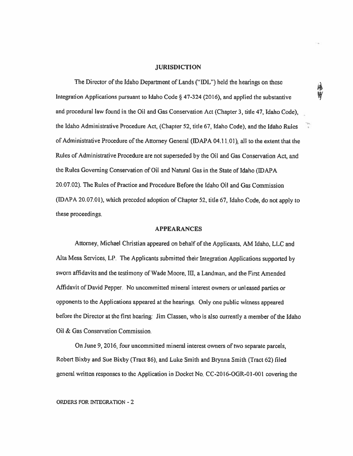#### **JURISDICTION**

The Director of the Idaho Department of Lands ("IDL") held the hearings on these Integration Applications pursuan<sup>t</sup> to Idaho Code § 47-324 (2016), and applied the substantive and procedural law found in the Oil and Gas Conservation Act (Chapter 3, title 47, Idaho Code), the Idaho Administrative Procedure Act, (Chapter 52, title 67, Idaho Code), and the Idaho Rules '' of Administrative Procedure of the Attorney General (IDAPA 04.11.01), all to the extent that the Rules of Administrative Procedure are not superseded by the Oil and Gas Conservation Act, and the Rules Governing Conservation of Oil and Natural Gas in the State of Idaho (IDAPA 20.07.02). The Rules of Practice and Procedure Before the Idaho Oil and Gas Commission (IDAPA 20.07.01), which preceded adoption of Chapter 52, title 67, Idaho Code, do not apply to these proceedings.

#### APPEARANCES

Attorney, Michael Christian appeared on behalf of the Applicants. kM Idaho, LLC and Alta Mesa Services, LP. The Applicants submitted their Integration Applications supported by sworn affidavits and the testimony of Wade Moore, Ill, <sup>a</sup> Landman, and the First Amended Affidavit of David Pepper. No uncommitted mineral interest owners or unleased parties or opponents to the Applications appeare<sup>d</sup> at the hearings. Only one public witness appeare<sup>d</sup> before the Director at the first hearing: Jim Classen, who is also currently <sup>a</sup> member of the Idaho Oil & Gas Conservation Commission.

On June 9, 2016, four uncommitted mineral interest owners of two separate parcels, Robert Bixby and Sue Bixby (Tract 86), and Luke Smith and Brynna Smith (Tract 62) filed general written responses to the Application in Docket No. CC-20l6-OGR-01-00I covering the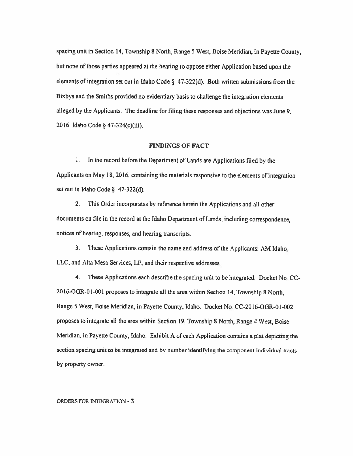spacing unit in Section 14, Township 8 North, Range 5 West, Boise Meridian, in Payette County, but none of those parties appeared at the hearing to oppose either Application based upon the elements of integration set out in Idaho Code § 47-322(d). Both written submissions from the Bixbys and the Smiths provided no evidentiaiy basis to challenge the integration elements alleged by the Applicants. The deadline for filing these responses and objections was June 9, 2016. Idaho Code § 47-324(c)(iii).

### FINDINGS OF FACT

<sup>L</sup> In the record before the Department of Lands are Applications filed by the Applicants on May 18, 2016, containing the materials responsive to the elements of integration set out in Idaho Code § 47-322(d).

2. This Order incorporates by reference herein the Applications and all other documents on file in the record at the Idaho Department of Lands, including correspondence, notices of heating, responses, and hearing transcripts.

3. These Applications contain the name and address of the Applicants: AM Idaho, LLC, and Alta Mesa Services, LP, and their respective addresses.

4. These Applications each describe the spacing unit to be integrated. Docket No. CC 2016-OGR-01-001 proposes to integrate all the area within Section 14, Township 8 North, Range 5 West, Boise Meridian, in Payette County, Idaho. Docket No. CC-2016-OGR-Ol-002 proposes to integrate all the area within Section 19, Township 8 North, Range <sup>4</sup> West, Boise Meridian, in Payette County, Idaho. Exhibit <sup>A</sup> of each Application contains <sup>a</sup> <sup>p</sup>lat depicting the section spacing unit to be integrated and by number identifying the componen<sup>t</sup> individual tracts by property owner.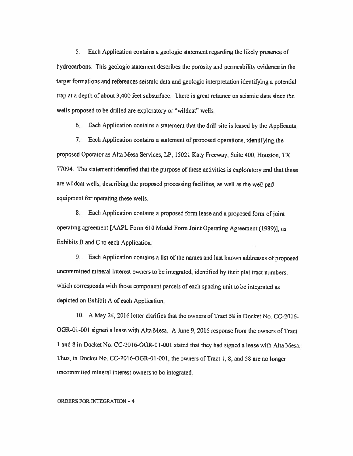5. Each Application contains <sup>a</sup> geologic statement regarding the likely presence of hydrocarbons. This geologic statement describes the porosity and permeability evidence in the target formations and references seismic data and geologic interpretation identifying <sup>a</sup> potential trap at <sup>a</sup> depth of about 3,400 feet subsurface. There is great reliance on seismic data since the wells proposed to be drilled are exploratory or "wildcat" welts.

6. Each Application contains <sup>a</sup> statement that the drill site is leased by the Applicants.

7. Each Application contains <sup>a</sup> statement of propose<sup>d</sup> operations, identifying the proposed Operator as Alta Mesa Services, LP, 15021 Katy Freeway, Suite 400, Houston, TX 77094. The statement identified that the purpose of these activities is exploratory and that these are wildcat wells, describing the proposed processing facilities, as well as the well pa<sup>d</sup> equipment for operating these wells.

8. Each Application contains a proposed form lease and a proposed form of joint operating agreement [AAPL Form <sup>610</sup> Model Form Joint Operating Agreement (1989)], as Exhibits <sup>B</sup> and <sup>C</sup> to each Application.

9. Each Application contains <sup>a</sup> list of the names and last known addresses of proposed uncommitted mineral interest owners to be integrated, identified by their <sup>p</sup>lat tract numbers, which corresponds with those component parcels of each spacing unit to be integrated as depicted on Exhibit <sup>A</sup> of each Application.

10. A May 24, 2016 letter clarifies that the owners of Tract 58 in Docket No. CC-20l6- OGR-01-001 signed a lease with Alta Mesa. A June 9, 2016 response from the owners of Tract <sup>I</sup> and 8in Docket No. CC-2016-OGR-0l-001 stated that they had signed <sup>a</sup> lease with Mta Mesa. Thus, in Docket No. CC-2016-OGR-01 -001, the owners of Tract 1, 8, and <sup>58</sup> are no longer uncommitted mineral interest owners to be integrated.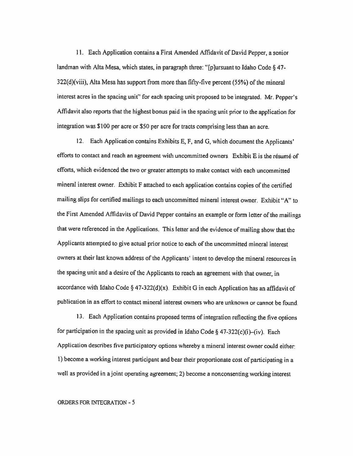11 Each Application contains <sup>a</sup> First Amended Affidavit of David Pepper, <sup>a</sup> senior landman with Alta Mesa, which states, in paragraph three: "[p]ursuant to Idaho Code § 47-322(d)(viii), Mta Mesa has support from more than fifty-five percent (55%) of the mineral interest acres in the spacing unit" for each spacing unit proposed to be integrated. Mr. Pepper's Affidavit also reports that the highest bonus paid in the spacing unit prior to the application for integration was \$100 per acre or \$50 per acre for tracts comprising less than an acre.

12. Each Application contains Exhibits E, F, and G, which document the Applicants' efforts to contact and reach an agreement with uncommitted owners. Exhibit <sup>E</sup> is the résumé of efforts, which evidenced the two or greater attempts to make contact with each uncommitted mineral interest owner. Exhibit <sup>F</sup> attached to each application contains copies of the certified mailing slips for certified mailings to each uncommitted mineral interest owner. Exhibit "A" to the First Amended Affidavits of David Pepper contains an example or form letter of the mailings that were referenced in the Applications. This letter and the evidence of mailing show that the Applicants attempted to <sup>g</sup>ive actual prior notice to each of the uncommitted mineral interest owners at their last known address of the Applicants' intent to develop the mineral resources in the spacing unit and <sup>a</sup> desire of the Applicants to reach an agreement with that owner, in accordance with Idaho Code §  $47-322(d)(x)$ . Exhibit G in each Application has an affidavit of publication in an effort to contact mineral interest owners who are unknown or cannot be found.

13. Each Application contains proposed terms of integration reflecting the five options for participation in the spacing unit as provided in Idaho Code § 47-322(c)(i)-(iv). Each Application describes five participatory options whereby <sup>a</sup> mineral interest owner could either: I) become <sup>a</sup> working interest participant and bear their proportionate cost of participating in <sup>a</sup> well as provided in a joint operating agreement; 2) become a nonconsenting working interest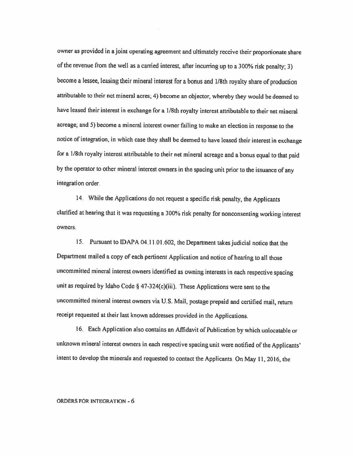owner as provided in <sup>a</sup> joint operating agreement and ultimately receive their proportionate share of the revenue from the well as <sup>a</sup> carried interest, after incurring up to <sup>a</sup> 300% risk penalty; 3) become <sup>a</sup> lessee, leasing their mineral interest for <sup>a</sup> bonus and 1/8th royalty share of production attributable to their net mineral acres; 4) become an objector, whereby they would be deemed to have leased their interest in exchange for <sup>a</sup> 1/8th royalty interest attributable to their net mineral acreage; and 5) become <sup>a</sup> mineral interest owner failing to make an election in response to the notice of integration, in which case they shall be deemed to have leased their interest in exchange for <sup>a</sup> 1/8th royalty interest attributable to their net mineral acreage and <sup>a</sup> bonus equal to that paid by the operator to other mineral interest owners in the spacing unit prior to the issuance of any integration order.

14. While the Applications do not request <sup>a</sup> specific risk penalty, the Applicants clarified at hearing that it was requesting <sup>a</sup> 300% risk penalty for nonconsenting working interest owners.

15. Pursuant to IDAPA 04.1101.602, the Department takes judicial notice that the Department mailed <sup>a</sup> copy of each pertinent Application and notice of hearing to all those uncommitted mineral interest owners identified as owning interests in each respective spacing unit as required by Idaho Code § 47-324(c)(iii). These Applications were sent to the uncommitted mineral interest owners via U.S. Mail, postage prepaid and certified mail, return receipt requested at their last known addresses provided in the Applications.

16. Each Application also contains an Affidavit of Publication by which unlocatable or unknown mineral interest owners in each respective spacing unit were notified of the Applicants' intent to develop the minerals and requested to contact the Applicants On May 11, 2016, the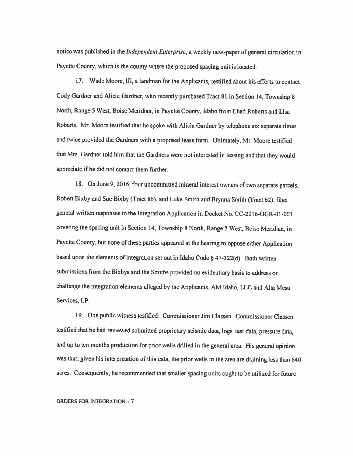notice was published in the *Independent Enterprise*, a weekly newspaper of general circulation in Payette County, which is the county where the proposed spacing unit is located.

17. Wade Moore, 111, <sup>a</sup> landman for the Applicants, testified about his efforts to contact Cody Gardner and Alicia Gardner, who recently purchased Tract <sup>81</sup> in Section 14, Township <sup>8</sup> North, Range <sup>5</sup> West. Boise Meridian, in Payefte County, Idaho from Chad Roberts and Lisa Roberts. Mr. Moore testified that he spoke with Alicia Gardner by telephone six separate times and twice provided the Gardners with <sup>a</sup> proposed lease form. Ultimately, Mr. Moore testified that Mrs. Gardner told him that the Gardners were not interested in leasing and that they would appreciate if he did not contact them thrther.

18. On June 9, 2016, four uncommitted mineral interest owners of two separate parcels, Robert Bixby and Sue Bixby (Tract 86), and Luke Smith and Biynna Smith (Tract 62), filed general written responses to the Integration Application in Docket No. CC-2016-OGR-Ol-00l covering the spacing unit in Section 14, Township <sup>8</sup> North, Range <sup>5</sup> West, Boise Meridian, in Payette County, but none of these parties appeared at the hearing to oppose either Application based upon the elements of integration set out in Idaho Code § 47-322(d). Both written submissions from the Bixbys and the Smiths provided no evidentiary basis to address or challenge the integration elements alleged by the Applicants, AM Idaho, LLC and Alta Mesa Services, LP.

19. One public witness testified: Commissioner Jim Classen. Commissioner Classen testified that he had reviewed submitted proprietary seismic data, logs, test data, pressure data, and up to ten months production for prior wells drilled in the general area. His general opinion was that, <sup>g</sup>iven his interpretation of this data, the prior wells in the area are draining less than <sup>640</sup> acres. Consequently, he recommended that smaller spacing units ought to be utilized for future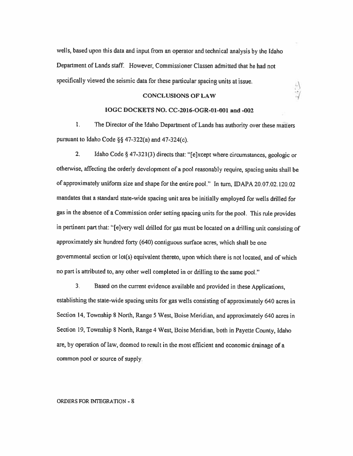wells, based upon this data and input from an operator and technical analysis by the Idaho Department of Lands staff. However, Commissioner Classen admitted that he had not specifically viewed the seismic data for these particular spacing units at issue.

### CONCLUSIONS OF LAW

#### IOGC DOCKETS NO. CC-2016-OGR-0I-0Ol and -002

1. The Director of the Idaho Department of Lands has authority over these matters pursuant to Idaho Code §§ 47-322(a) and 47-324(c).

2. Idaho Code § 47-321(3) directs that: "[e]xcept where circumstances, geologic or otherwise, affecting the orderly development of <sup>a</sup> poo<sup>l</sup> reasonably require, spacing units shall be of approximately uniform size and shape for the entire pool," In turn, DAPA 20.07.02.120.02 mandates that <sup>a</sup> standard state-wide spacing unit area be initially employed for wells drilled for gas in the absence of <sup>a</sup> Commission order setting spacing units for the pool. This rule provides in pertinent part that: "[e]very well drilled for gas must be located on <sup>a</sup> drilling unit consisting of approximately six hundred forty (640) contiguous surface acres, which shall be one govemmentai section or lot(s) equivalent thereto, upon which there is not located, and of which no part is attributed to, any other well completed in or drilling to the same pool."

3. Based on the current evidence available and provided in these Applications, establishing the state-wide spacing units for gas wells consisting of approximately 640 acres in Section 14, Township <sup>8</sup> North, Range <sup>5</sup> West, Boise Meridian, and approximately <sup>640</sup> acres in Section 19, Township <sup>S</sup> North, Range <sup>4</sup> West, Boise Meridian, both in Payette County, Idaho are, by operation of law, deemed to result in the most efficient and economic drainage of <sup>a</sup> common pool or source of supply.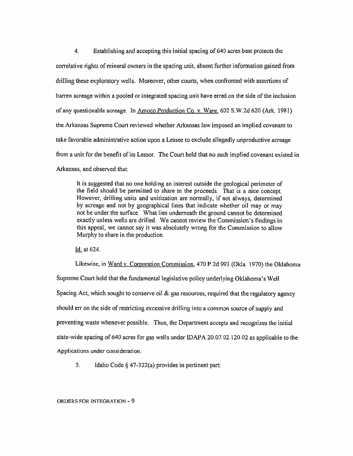4. Establishing and accepting this initial spacing of 640 acres best protects the correlative rights of mineral owners in the spacing unit, absent further information gained from drilling these exploratory wells. Moreover, other courts, when confronted with assertions of barren acreage within <sup>a</sup> pooled or integrated spacing unit have erred on the side of the inclusion of any questionable acreage. In Amoco Production Co. v. Ware. 602 S.W.2d 620 (Ark. 1981) the Arkansas Supreme Court reviewed whether Arkansas law imposed an implied covenant to take favorable administrative action upon <sup>a</sup> Lessee to exclude allegedly unproductive acreage from <sup>a</sup> unit for the benefit of its Lessor. The Court held that no such implied covenant existed in Arkansas. and observed that:

It is suggested that no one holding an interest outside the geological perimeter of the field should be permitted to share in the proceeds. That is <sup>a</sup> nice concept. However, drilling units and unitization are normally, if not always, determined by acreage and not by geographical lines that indicate whether oil may or may not be under the surface. What lies underneath the ground cannot be determined exactly unless wells are drilled. We cannot review the Commission's findings in this appeal; we cannot say it was absolutely wrong for the Commission to allow Murphy to share in the production.

Id. at 624.

Likewise, in Ward v. Corporation Commission, 470 P.2d 993 (OkIa. 1970) the Oklahoma Supreme Court held that the fundamental legislative policy underlying Oklahoma's Well Spacing Act, which sought to conserve oil  $\&$  gas resources, required that the regulatory agency should err on the side of restricting excessive drilling into <sup>a</sup> common source of supply and preventing waste whenever possible. Thus, the Department accepts and recognizes the initial state-wide spacing of <sup>640</sup> acres for gas wells under IDAPA 20.07.02.120.02 as applicable to the Applications under consideration.

5. Idaho Code § 47-322(a) provides in pertinent part: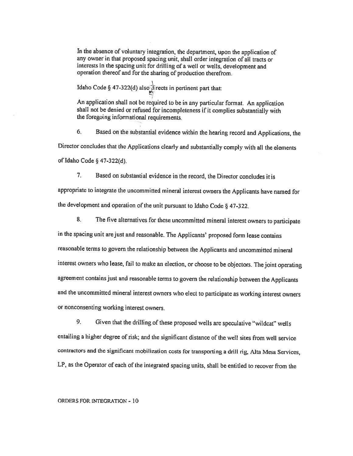In the absence of voluntary integration, the department, upon the application of any owner in that proposed spacing unit, shall order integration of alt tracts or interests in the spacing unit for drilling of a well or wells, development and operation thereof and for the sharing of production therefrom.

Idaho Code § 47-322(d) also directs in pertinent part that:

An application shall not be required to be in any particular format. An application shall not be denied or refused for incompleteness if it complies substantially with the foregoing informational requirements.

6. Based on the substantial evidence within the hearing record and Applications, the Director concludes that the Applications clearly and substantially comply with all the elements of Idaho Code § 47-322(d).

7. Based on substantial evidence in the record, the Director concludes it is appropriate to integrate the uncommitted mineral interest owners the Applicants have named for ihe development and operation of the unit pursuant to Idaho Code § 47-322.

S. The five alternatives for these uncommitted mineral interest owners to participate in the spacing unit are just and reasonable. The Applicants' proposed form lease contains reasonable terms to govern the relationship between the Applicants and uncommitted mineral interest owners who lease, fail to make an election, or choose to be objectors. The joint operating agreement contains just and reasonable terms to govern the relationship between the Applicants and the uncommitted mineral interest owners who elect to participate as working interest owners or nonconsenting working interest owners.

9. Given that the drilling of these proposed wells are speculative "wildcat" wells entailing <sup>a</sup> higher degree of risk; and the significant distance of the well sites from well service contractors and the significant mobilization costs for transporting <sup>a</sup> drill rig, Mta Mesa Services, LP, as the Operator of each of the integrated spacing units, shall be entitled to recover from the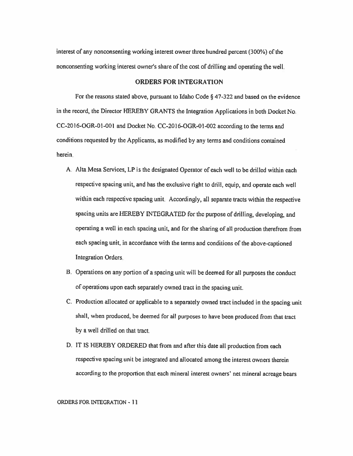interest of any nonconsenting working interest owner three hundred percent (300%) of the nonconsenting working interest owner's share of the cost of drilling and operating the well.

# ORDERS FOR INTEGRATION

For the reasons stated above, pursuant to Idaho Code § 47-322 and based on the evidence in the record, the Director HEREBY GRANTS the Integration Applications in both Docket No. CC-2016-OGR-01-00l and Docket No. CC-2016-OGR-01-002 according to the terms and conditions requested by the Applicants, as modified by any terms and conditions contained herein.

- A. Alta Mesa Services, LP is the designated Operator of each well to be drilled within each respective spacing unit, and has the exclusive right to drill, equip, and operate each well within each respective spacing unit. Accordingly, all separate tracts within the respective spacing units are FffiREBY INTEGRATED for the purpose of drilling, developing, and operating <sup>a</sup> well in each spacing unit, and for the sharing of all production therefrom from each spacing unit, in accordance with the tenns and conditions of the above-captioned Integration Orders.
- B. Operations on any portion of <sup>a</sup> spacing unit will be deemed for all purposes the conduct of operations upon each separately owned tract in the spacing unit.
- C. Production allocated or applicable to <sup>a</sup> separately owned tract included in the spacing unit shall, when produced, be deemed for all purposes to have been produced from that tract by <sup>a</sup> well drilled on that tract.
- D. IT IS HEREBY ORDERED that from and after this date all production from each respective spacing unit be integrated and allocated among the interest owners therein according to the proportion that each mineral interest owners' net mineral acreage bears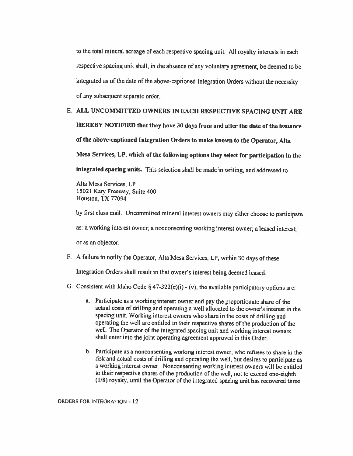to the total mineral acreage of each respective spacing unit. All royalty interests in each respective spacing unit shall, in the absence of any voluntary agreement, be deemed to be integrated as of the date of the above-captioned Integration Orders without the necessity of any subsequent separate order.

E. ALL UNCOMMITTED OWNERS IN EACH RESPECTIVE SPACING UNIT ARE HEREBY NOTIFIED that they have 30 days from and after the date of the issuance of the above-captioned Integration Orders to make known to the Operator, Alta Mesa Services, LP, which of the following options they select for participation in the integrated spacing units. This selection shall be made in writing, and addressed to

Alta Mesa Services, LP 15021 Katy Freeway, Suite 400 Houston, TX 77094

by first class mail. Uncommitted mineral interest owners may either choose to participate

as: <sup>a</sup> working interest owner; <sup>a</sup> nonconsenting working interest owner; <sup>a</sup> leased interest;

or as an objector.

F. A failure to notify the Operator, Alta Mesa Services, LP, within 30 days of these

Integration Orders shall result in that owner's interest being deemed leased.

- G. Consistent with Idaho Code § 47-322(c)(i) (v), the available participatory options are:
	- a. Participate as <sup>a</sup> working interest owner and pay the proportionate share of the actual costs of drilling and operating a well allocated to the owner's interest in the spacing unit. Working interest owners who share in the costs of drilling and operating the well are entitled to their respective shares of the production of the well. The Operator of the integrated spacing unit and working interest owners shall enter into the joint operating agreement approved in this Order.
	- b. Participate as <sup>a</sup> nonconsenting working interest owner, who refuses to share in the risk and actual costs of drilling and operating the well, but desires to participate as a working interest owner. Nonconsenting working interest owners will be entitled to their respective shares of the production of the well, not to exceed one-eighth  $(1/8)$  royalty, until the Operator of the integrated spacing unit has recovered three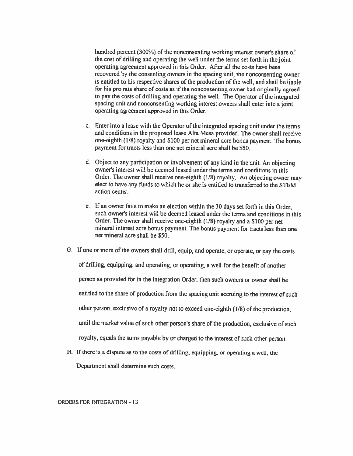hundred percent (300%) of the nonconsenting working interest owner's share of the cost of drilling and operating the well under the terms set forth in the joint operating agreement approved in this Order. After all the costs have been recovered by the consenting owners in the spacing unit, the nonconsenting owner is entitled to his respective shares of the production of the well, and shall be liable for his pro rata share of costs as if the nonconsenting owner had originally agree<sup>d</sup> to pay the costs of drilling and operating the well. The Operator of the integrated spacing unit and nonconsenting working interest owners shall enter into a joint operating agreement approved in this Order.

- c. Enter into <sup>a</sup> lease with the Operator of the integrated spacing unit under the terms and conditions in the proposed lease Alta Mesa provided. The owner shall receive one-eighth (1/8) royalty and S100 per net mineral acre bonus payment. The bonus payment for tracts less than one net mineral acre shall be \$50.
- d. Object to any participation or involvement of any kind in the unit. An objecting owner's interest will be deemed leased under the terms and conditions in this Order. The owner shall receive one-eighth (1/8) royalty. An objecting owner may elect to have any funds to which he or she is entitled to transferred to the STEM action center.
- e. If an owner fails to make an election within the 30 days set forth in this Order, such owner's interest will be deemed leased under the terms and conditions in this Order. The owner shall receive one-eighth (1/8) royalty and <sup>a</sup> \$100 per net mineral interest acre bonus payment. The bonus payment for tracts less than one net mineral acre shall be \$50.
- G. If one or more of the owners shall drill, equip, and operate, or operate, or pay the costs

of drilling, equipping, and operating, or operating, <sup>a</sup> well for the benefit of another

person as provided for in the Integration Order, then such owners or owner shall he

entitled to the share of production from the spacing unit accruing to the interest of such

other person, exclusive of <sup>a</sup> royalty not to exceed one-eighth (1/8) of the production,

until the market value of such other person's share of the production, exclusive of such

royalty, equals the sums payable by or charged to the interest of such other person.

H. If there is <sup>a</sup> dispute as to the costs of drilling, equipping, or operating <sup>a</sup> well, the

Department shall determine such costs.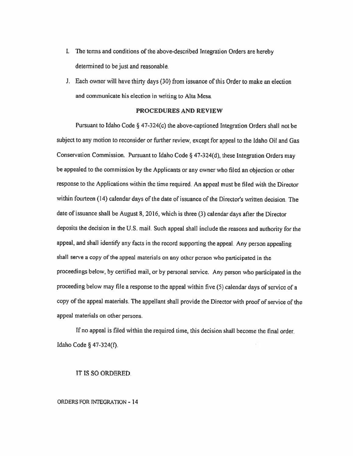- 1. The terms and conditions of the above-described Integration Orders are hereby determined to be just and reasonable.
- J. Each owner will have thirty days (30) from issuance of this Order to make an election and communicate his election in writing to Alta Mesa.

# PROCEDURES AND REVIEW

Pursuant to Idaho Code § 47-324(c) the above-captioned Integration Orders shall not be subject to any motion to reconsider or ftrther review, except for appea<sup>l</sup> to the Idaho Oil and Gas Conservation Commission. Pursuant to Idaho Code § 47-324(d), these Integration Orders may be appealed to the commission by the Applicants or any owner who filed an objection or other response to the Applications within the time required. An appea<sup>l</sup> must be filed with the Director within fourteen (14) calendar days of the date of issuance of the Director's written decision. The date of issuance shall be August 8, 2016, which is three (3) calendar days after the Director deposits the decision in the U.S. mail. Such appea<sup>l</sup> shall include the reasons and authority for the appeal, and shall identify any facts in the record supporting the appeal. Any person appealing shall serve <sup>a</sup> copy of the appea<sup>l</sup> materials on any other person who participated in the proceedings below, by certified mail, or by persona<sup>l</sup> service. Any person who participated in the proceeding below may file a response to the appeal within five (5) calendar days of service of a copy of the appea<sup>l</sup> materials. The appellant shall provide the Director with proof of service of the appea<sup>l</sup> materials on other persons.

Tfno appeal is filed within the required time, this decision shall become the final order. Idaho Code § 47-324(fl.

### IT IS SO ORDERED